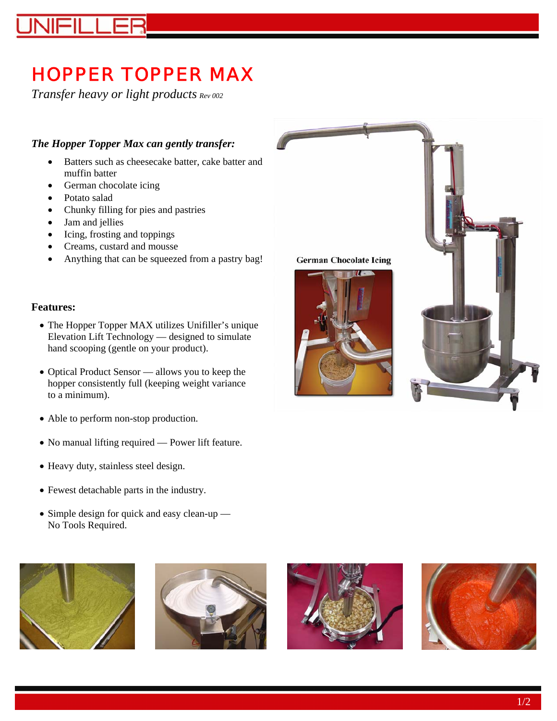# HOPPER TOPPER MAX

*Transfer heavy or light products Rev 002*

#### *The Hopper Topper Max can gently transfer:*

- Batters such as cheesecake batter, cake batter and muffin batter
- German chocolate icing
- Potato salad
- Chunky filling for pies and pastries
- Jam and jellies
- Icing, frosting and toppings
- Creams, custard and mousse
- Anything that can be squeezed from a pastry bag!

#### **Features:**

- The Hopper Topper MAX utilizes Unifiller's unique Elevation Lift Technology — designed to simulate hand scooping (gentle on your product).
- Optical Product Sensor allows you to keep the hopper consistently full (keeping weight variance to a minimum).
- Able to perform non-stop production.
- No manual lifting required Power lift feature.
- Heavy duty, stainless steel design.
- Fewest detachable parts in the industry.
- Simple design for quick and easy clean-up No Tools Required.









**German Chocolate Icing**